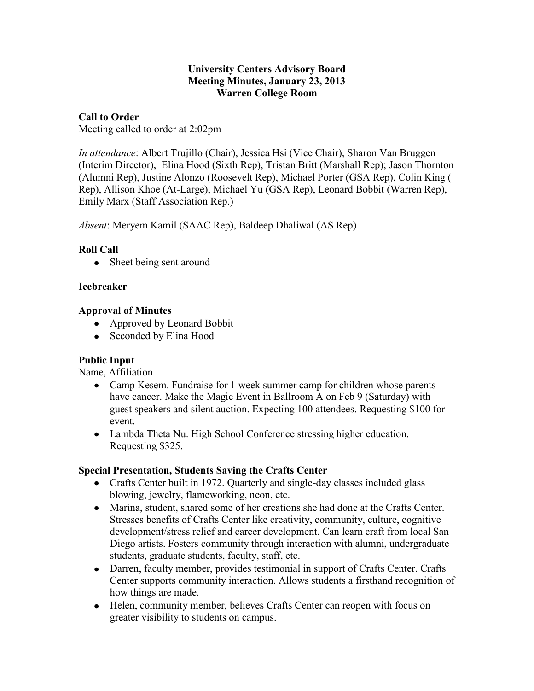#### **University Centers Advisory Board Meeting Minutes, January 23, 2013 Warren College Room**

# **Call to Order**

Meeting called to order at 2:02pm

*In attendance*: Albert Trujillo (Chair), Jessica Hsi (Vice Chair), Sharon Van Bruggen (Interim Director), Elina Hood (Sixth Rep), Tristan Britt (Marshall Rep); Jason Thornton (Alumni Rep), Justine Alonzo (Roosevelt Rep), Michael Porter (GSA Rep), Colin King ( Rep), Allison Khoe (At-Large), Michael Yu (GSA Rep), Leonard Bobbit (Warren Rep), Emily Marx (Staff Association Rep.)

*Absent*: Meryem Kamil (SAAC Rep), Baldeep Dhaliwal (AS Rep)

# **Roll Call**

• Sheet being sent around

# **Icebreaker**

# **Approval of Minutes**

- Approved by Leonard Bobbit
- Seconded by Elina Hood

## **Public Input**

Name, Affiliation

- Camp Kesem. Fundraise for 1 week summer camp for children whose parents have cancer. Make the Magic Event in Ballroom A on Feb 9 (Saturday) with guest speakers and silent auction. Expecting 100 attendees. Requesting \$100 for event.
- Lambda Theta Nu. High School Conference stressing higher education. Requesting \$325.

## **Special Presentation, Students Saving the Crafts Center**

- Crafts Center built in 1972. Quarterly and single-day classes included glass blowing, jewelry, flameworking, neon, etc.
- Marina, student, shared some of her creations she had done at the Crafts Center. Stresses benefits of Crafts Center like creativity, community, culture, cognitive development/stress relief and career development. Can learn craft from local San Diego artists. Fosters community through interaction with alumni, undergraduate students, graduate students, faculty, staff, etc.
- Darren, faculty member, provides testimonial in support of Crafts Center. Crafts Center supports community interaction. Allows students a firsthand recognition of how things are made.
- Helen, community member, believes Crafts Center can reopen with focus on greater visibility to students on campus.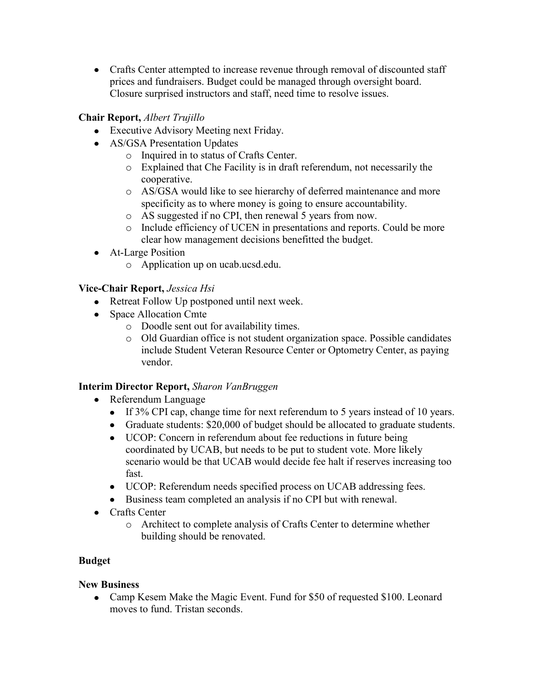• Crafts Center attempted to increase revenue through removal of discounted staff prices and fundraisers. Budget could be managed through oversight board. Closure surprised instructors and staff, need time to resolve issues.

# **Chair Report,** *Albert Trujillo*

- Executive Advisory Meeting next Friday.
- AS/GSA Presentation Updates
	- o Inquired in to status of Crafts Center.
	- o Explained that Che Facility is in draft referendum, not necessarily the cooperative.
	- o AS/GSA would like to see hierarchy of deferred maintenance and more specificity as to where money is going to ensure accountability.
	- o AS suggested if no CPI, then renewal 5 years from now.
	- o Include efficiency of UCEN in presentations and reports. Could be more clear how management decisions benefitted the budget.
- At-Large Position
	- o Application up on ucab.ucsd.edu.

# **Vice-Chair Report,** *Jessica Hsi*

- Retreat Follow Up postponed until next week.
- Space Allocation Cmte
	- o Doodle sent out for availability times.
	- o Old Guardian office is not student organization space. Possible candidates include Student Veteran Resource Center or Optometry Center, as paying vendor.

## **Interim Director Report,** *Sharon VanBruggen*

- Referendum Language
	- If 3% CPI cap, change time for next referendum to 5 years instead of 10 years.
	- Graduate students: \$20,000 of budget should be allocated to graduate students.
	- UCOP: Concern in referendum about fee reductions in future being coordinated by UCAB, but needs to be put to student vote. More likely scenario would be that UCAB would decide fee halt if reserves increasing too fast.
	- UCOP: Referendum needs specified process on UCAB addressing fees.
	- Business team completed an analysis if no CPI but with renewal.
- Crafts Center
	- o Architect to complete analysis of Crafts Center to determine whether building should be renovated.

# **Budget**

## **New Business**

Camp Kesem Make the Magic Event. Fund for \$50 of requested \$100. Leonard moves to fund. Tristan seconds.